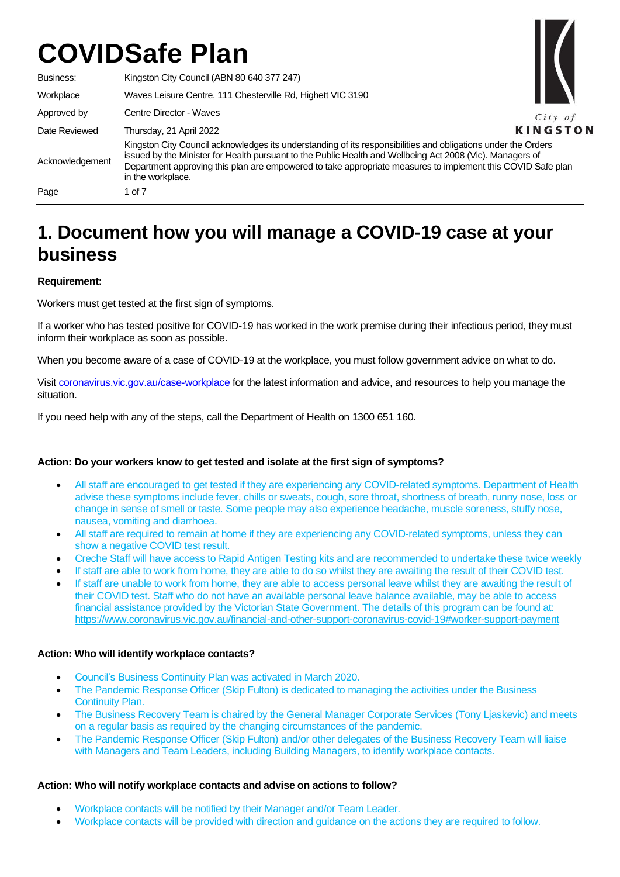Business: Kingston City Council (ABN 80 640 377 247) Workplace Waves Leisure Centre, 111 Chesterville Rd, Highett VIC 3190 Approved by Centre Director - Waves  $City$  of **KINGSTON** Date Reviewed Thursday, 21 April 2022 Kingston City Council acknowledges its understanding of its responsibilities and obligations under the Orders issued by the Minister for Health pursuant to the Public Health and Wellbeing Act 2008 (Vic). Managers of Acknowledgement Department approving this plan are empowered to take appropriate measures to implement this COVID Safe plan in the workplace. Page 1 of 7

# **1. Document how you will manage a COVID-19 case at your business**

# **Requirement:**

Workers must get tested at the first sign of symptoms.

If a worker who has tested positive for COVID-19 has worked in the work premise during their infectious period, they must inform their workplace as soon as possible.

When you become aware of a case of COVID-19 at the workplace, you must follow government advice on what to do.

Visi[t coronavirus.vic.gov.au/case-workplace](https://www.coronavirus.vic.gov.au/case-workplace) for the latest information and advice, and resources to help you manage the situation.

If you need help with any of the steps, call the Department of Health on 1300 651 160.

# **Action: Do your workers know to get tested and isolate at the first sign of symptoms?**

- All staff are encouraged to get tested if they are experiencing any COVID-related symptoms. Department of Health advise these symptoms include fever, chills or sweats, cough, sore throat, shortness of breath, runny nose, loss or change in sense of smell or taste. Some people may also experience headache, muscle soreness, stuffy nose, nausea, vomiting and diarrhoea.
- All staff are required to remain at home if they are experiencing any COVID-related symptoms, unless they can show a negative COVID test result.
- Creche Staff will have access to Rapid Antigen Testing kits and are recommended to undertake these twice weekly
- If staff are able to work from home, they are able to do so whilst they are awaiting the result of their COVID test.
- If staff are unable to work from home, they are able to access personal leave whilst they are awaiting the result of their COVID test. Staff who do not have an available personal leave balance available, may be able to access financial assistance provided by the Victorian State Government. The details of this program can be found at: <https://www.coronavirus.vic.gov.au/financial-and-other-support-coronavirus-covid-19#worker-support-payment>

## **Action: Who will identify workplace contacts?**

- Council's Business Continuity Plan was activated in March 2020.
- The Pandemic Response Officer (Skip Fulton) is dedicated to managing the activities under the Business Continuity Plan.
- The Business Recovery Team is chaired by the General Manager Corporate Services (Tony Ljaskevic) and meets on a regular basis as required by the changing circumstances of the pandemic.
- The Pandemic Response Officer (Skip Fulton) and/or other delegates of the Business Recovery Team will liaise with Managers and Team Leaders, including Building Managers, to identify workplace contacts.

## **Action: Who will notify workplace contacts and advise on actions to follow?**

- Workplace contacts will be notified by their Manager and/or Team Leader.
- Workplace contacts will be provided with direction and guidance on the actions they are required to follow.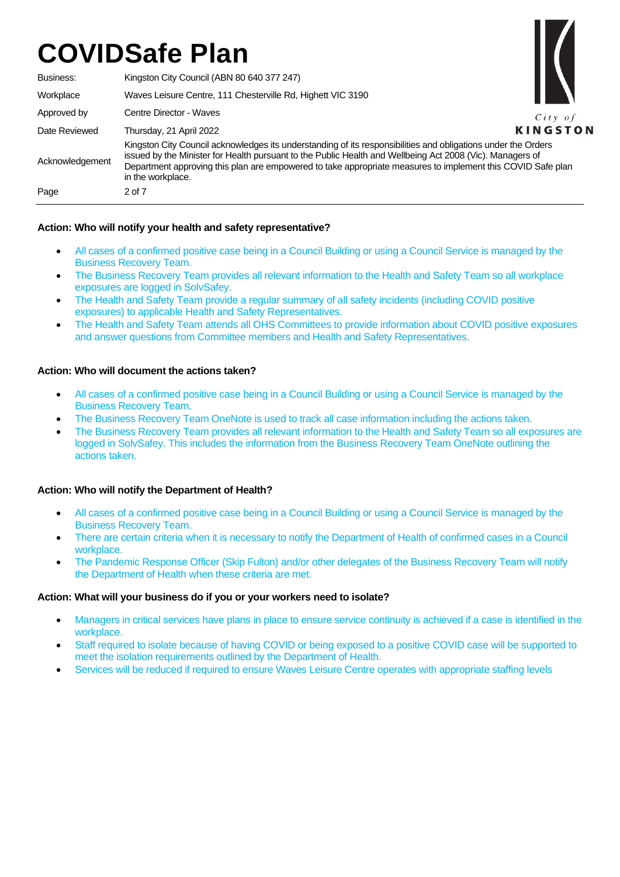Business: Kingston City Council (ABN 80 640 377 247) Workplace Waves Leisure Centre, 111 Chesterville Rd, Highett VIC 3190



Approved by Centre Director - Waves Date Reviewed Thursday, 21 April 2022 Acknowledgement Kingston City Council acknowledges its understanding of its responsibilities and obligations under the Orders issued by the Minister for Health pursuant to the Public Health and Wellbeing Act 2008 (Vic). Managers of Department approving this plan are empowered to take appropriate measures to implement this COVID Safe plan in the workplace. Page 2 of 7

# **Action: Who will notify your health and safety representative?**

- All cases of a confirmed positive case being in a Council Building or using a Council Service is managed by the Business Recovery Team.
- The Business Recovery Team provides all relevant information to the Health and Safety Team so all workplace exposures are logged in SolvSafey.
- The Health and Safety Team provide a regular summary of all safety incidents (including COVID positive exposures) to applicable Health and Safety Representatives.
- The Health and Safety Team attends all OHS Committees to provide information about COVID positive exposures and answer questions from Committee members and Health and Safety Representatives.

## **Action: Who will document the actions taken?**

- All cases of a confirmed positive case being in a Council Building or using a Council Service is managed by the Business Recovery Team.
- The Business Recovery Team OneNote is used to track all case information including the actions taken.
- The Business Recovery Team provides all relevant information to the Health and Safety Team so all exposures are logged in SolvSafey. This includes the information from the Business Recovery Team OneNote outlining the actions taken.

## **Action: Who will notify the Department of Health?**

- All cases of a confirmed positive case being in a Council Building or using a Council Service is managed by the Business Recovery Team.
- There are certain criteria when it is necessary to notify the Department of Health of confirmed cases in a Council workplace.
- The Pandemic Response Officer (Skip Fulton) and/or other delegates of the Business Recovery Team will notify the Department of Health when these criteria are met.

## **Action: What will your business do if you or your workers need to isolate?**

- Managers in critical services have plans in place to ensure service continuity is achieved if a case is identified in the workplace.
- Staff required to isolate because of having COVID or being exposed to a positive COVID case will be supported to meet the isolation requirements outlined by the Department of Health.
- Services will be reduced if required to ensure Waves Leisure Centre operates with appropriate staffing levels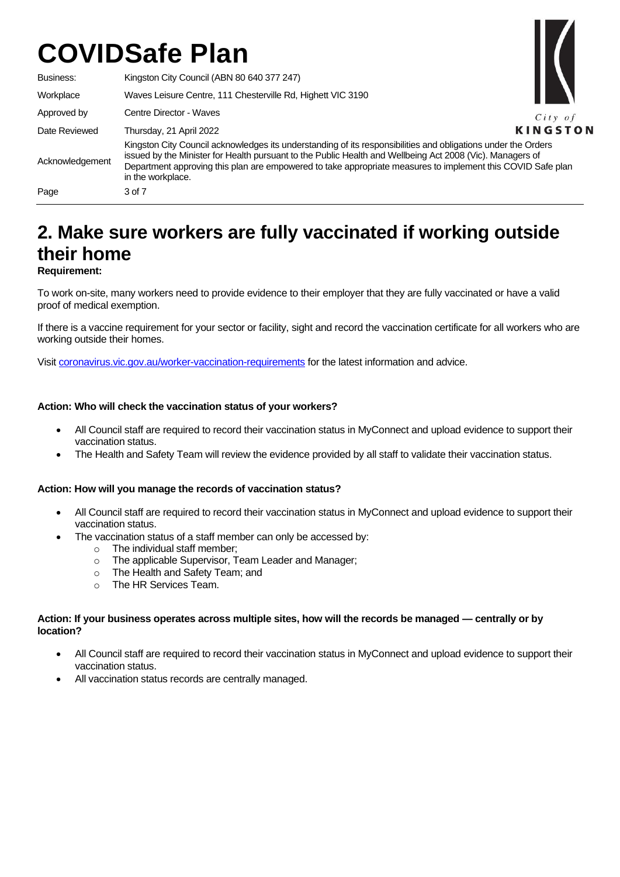

# **2. Make sure workers are fully vaccinated if working outside their home Requirement:**

To work on-site, many workers need to provide evidence to their employer that they are fully vaccinated or have a valid proof of medical exemption.

If there is a vaccine requirement for your sector or facility, sight and record the vaccination certificate for all workers who are working outside their homes.

Visi[t coronavirus.vic.gov.au/worker-vaccination-requirements](https://www.coronavirus.vic.gov.au/worker-vaccination-requirements) for the latest information and advice.

## **Action: Who will check the vaccination status of your workers?**

- All Council staff are required to record their vaccination status in MyConnect and upload evidence to support their vaccination status.
- The Health and Safety Team will review the evidence provided by all staff to validate their vaccination status.

## **Action: How will you manage the records of vaccination status?**

- All Council staff are required to record their vaccination status in MyConnect and upload evidence to support their vaccination status.
- The vaccination status of a staff member can only be accessed by:
	-
	- o The individual staff member;<br>
	o The applicable Supervisor. T The applicable Supervisor, Team Leader and Manager;
	- o The Health and Safety Team; and
	- o The HR Services Team.

#### **Action: If your business operates across multiple sites, how will the records be managed — centrally or by location?**

- All Council staff are required to record their vaccination status in MyConnect and upload evidence to support their vaccination status.
- All vaccination status records are centrally managed.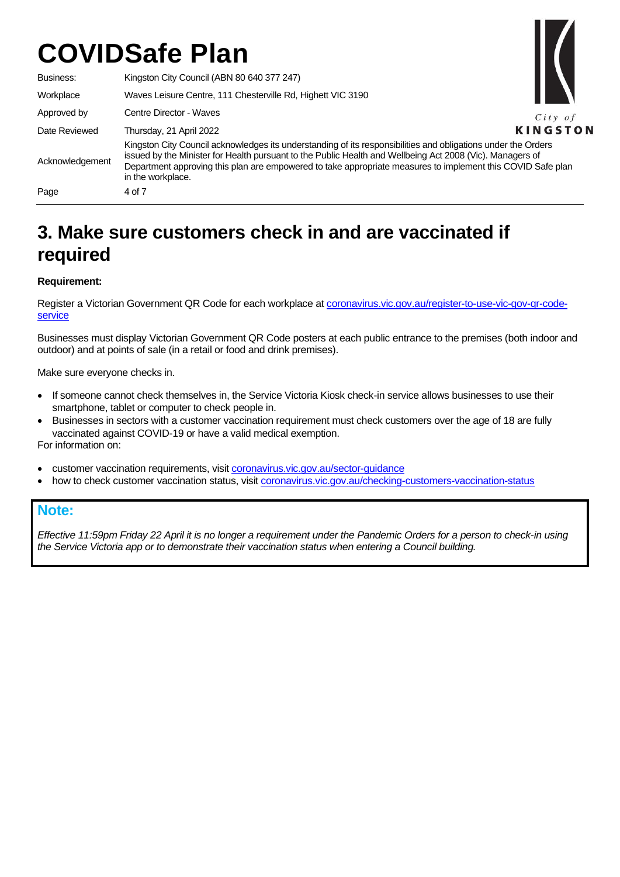

| Business:       | Kingston City Council (ABN 80 640 377 247)                                                                                                                                                                                                                                                                                                                     |                |
|-----------------|----------------------------------------------------------------------------------------------------------------------------------------------------------------------------------------------------------------------------------------------------------------------------------------------------------------------------------------------------------------|----------------|
| Workplace       | Waves Leisure Centre, 111 Chesterville Rd, Highett VIC 3190                                                                                                                                                                                                                                                                                                    |                |
| Approved by     | Centre Director - Waves                                                                                                                                                                                                                                                                                                                                        | $City$ of      |
| Date Reviewed   | Thursday, 21 April 2022                                                                                                                                                                                                                                                                                                                                        | <b>KINGSTC</b> |
| Acknowledgement | Kingston City Council acknowledges its understanding of its responsibilities and obligations under the Orders<br>issued by the Minister for Health pursuant to the Public Health and Wellbeing Act 2008 (Vic). Managers of<br>Department approving this plan are empowered to take appropriate measures to implement this COVID Safe plan<br>in the workplace. |                |
| Page            | 4 of 7                                                                                                                                                                                                                                                                                                                                                         |                |

# **3. Make sure customers check in and are vaccinated if required**

# **Requirement:**

Register a Victorian Government QR Code for each workplace a[t coronavirus.vic.gov.au/register-to-use-vic-gov-qr-code](https://www.coronavirus.vic.gov.au/register-to-use-vic-gov-qr-code-service)[service](https://www.coronavirus.vic.gov.au/register-to-use-vic-gov-qr-code-service)

Businesses must display Victorian Government QR Code posters at each public entrance to the premises (both indoor and outdoor) and at points of sale (in a retail or food and drink premises).

Make sure everyone checks in.

- If someone cannot check themselves in, the Service Victoria Kiosk check-in service allows businesses to use their smartphone, tablet or computer to check people in.
- Businesses in sectors with a customer vaccination requirement must check customers over the age of 18 are fully vaccinated against COVID-19 or have a valid medical exemption. For information on:
- customer vaccination requirements, visi[t coronavirus.vic.gov.au/sector-guidance](https://www.coronavirus.vic.gov.au/sector-guidance)
- how to check customer vaccination status, visi[t coronavirus.vic.gov.au/checking-customers-vaccination-status](https://www.coronavirus.vic.gov.au/checking-customers-vaccination-status)

# **Note:**

*Effective 11:59pm Friday 22 April it is no longer a requirement under the Pandemic Orders for a person to check-in using the Service Victoria app or to demonstrate their vaccination status when entering a Council building.*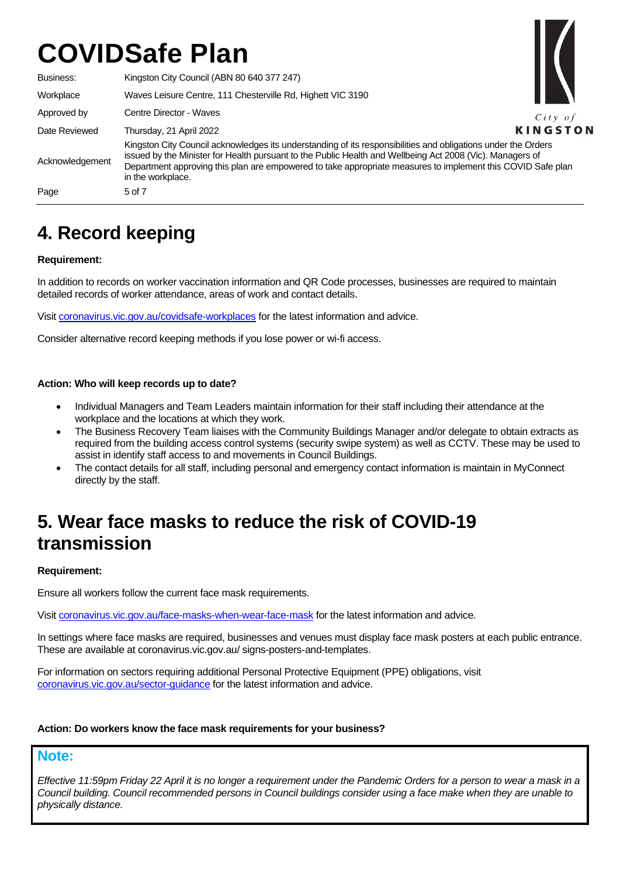Business: Kingston City Council (ABN 80 640 377 247) Workplace Waves Leisure Centre, 111 Chesterville Rd, Highett VIC 3190 Approved by Centre Director - Waves  $City$  of **KINGSTON** Date Reviewed Thursday, 21 April 2022 Kingston City Council acknowledges its understanding of its responsibilities and obligations under the Orders issued by the Minister for Health pursuant to the Public Health and Wellbeing Act 2008 (Vic). Managers of Acknowledgement Department approving this plan are empowered to take appropriate measures to implement this COVID Safe plan in the workplace. Page 5 of 7

# **4. Record keeping**

# **Requirement:**

In addition to records on worker vaccination information and QR Code processes, businesses are required to maintain detailed records of worker attendance, areas of work and contact details.

Visit [coronavirus.vic.gov.au/covidsafe-workplaces](http://www.coronavirus.vic.gov.au/covidsafe-workplaces) for the latest information and advice.

Consider alternative record keeping methods if you lose power or wi-fi access.

## **Action: Who will keep records up to date?**

- Individual Managers and Team Leaders maintain information for their staff including their attendance at the workplace and the locations at which they work.
- The Business Recovery Team liaises with the Community Buildings Manager and/or delegate to obtain extracts as required from the building access control systems (security swipe system) as well as CCTV. These may be used to assist in identify staff access to and movements in Council Buildings.
- The contact details for all staff, including personal and emergency contact information is maintain in MyConnect directly by the staff.

# **5. Wear face masks to reduce the risk of COVID-19 transmission**

## **Requirement:**

Ensure all workers follow the current face mask requirements.

Visi[t coronavirus.vic.gov.au/face-masks-when-wear-face-mask](https://www.coronavirus.vic.gov.au/face-masks-when-wear-face-mask) for the latest information and advice.

In settings where face masks are required, businesses and venues must display face mask posters at each public entrance. These are available at coronavirus.vic.gov.au/ signs-posters-and-templates.

For information on sectors requiring additional Personal Protective Equipment (PPE) obligations, visit [coronavirus.vic.gov.au/sector-guidance](https://www.coronavirus.vic.gov.au/sector-guidance) for the latest information and advice.

## **Action: Do workers know the face mask requirements for your business?**

# **Note:**

*Effective 11:59pm Friday 22 April it is no longer a requirement under the Pandemic Orders for a person to wear a mask in a Council building. Council recommended persons in Council buildings consider using a face make when they are unable to physically distance.*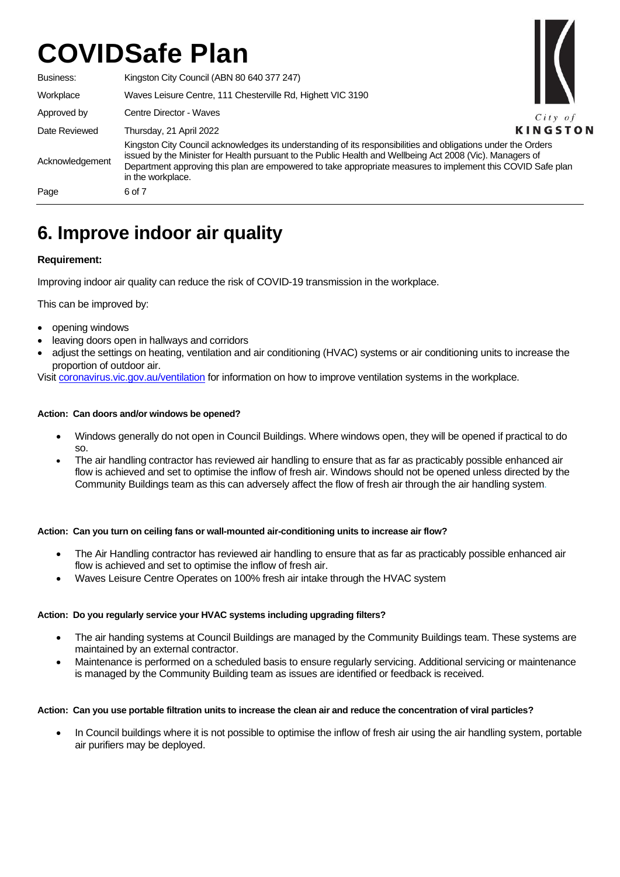Business: Kingston City Council (ABN 80 640 377 247) Workplace Waves Leisure Centre, 111 Chesterville Rd, Highett VIC 3190 Approved by Centre Director - Waves Date Reviewed Thursday, 21 April 2022 Acknowledgement Kingston City Council acknowledges its understanding of its responsibilities and obligations under the Orders issued by the Minister for Health pursuant to the Public Health and Wellbeing Act 2008 (Vic). Managers of Department approving this plan are empowered to take appropriate measures to implement this COVID Safe plan in the workplace. Page 6 of 7

 $City$  of **KINGSTON** 

# **6. Improve indoor air quality**

# **Requirement:**

Improving indoor air quality can reduce the risk of COVID-19 transmission in the workplace.

This can be improved by:

- opening windows
- leaving doors open in hallways and corridors
- adjust the settings on heating, ventilation and air conditioning (HVAC) systems or air conditioning units to increase the proportion of outdoor air.

Visi[t coronavirus.vic.gov.au/ventilation](https://www.coronavirus.vic.gov.au/ventilation) for information on how to improve ventilation systems in the workplace.

#### **Action: Can doors and/or windows be opened?**

- Windows generally do not open in Council Buildings. Where windows open, they will be opened if practical to do so.
- The air handling contractor has reviewed air handling to ensure that as far as practicably possible enhanced air flow is achieved and set to optimise the inflow of fresh air. Windows should not be opened unless directed by the Community Buildings team as this can adversely affect the flow of fresh air through the air handling system.

## **Action: Can you turn on ceiling fans or wall-mounted air-conditioning units to increase air flow?**

- The Air Handling contractor has reviewed air handling to ensure that as far as practicably possible enhanced air flow is achieved and set to optimise the inflow of fresh air.
- Waves Leisure Centre Operates on 100% fresh air intake through the HVAC system

#### **Action: Do you regularly service your HVAC systems including upgrading filters?**

- The air handing systems at Council Buildings are managed by the Community Buildings team. These systems are maintained by an external contractor.
- Maintenance is performed on a scheduled basis to ensure regularly servicing. Additional servicing or maintenance is managed by the Community Building team as issues are identified or feedback is received.

#### **Action: Can you use portable filtration units to increase the clean air and reduce the concentration of viral particles?**

In Council buildings where it is not possible to optimise the inflow of fresh air using the air handling system, portable air purifiers may be deployed.